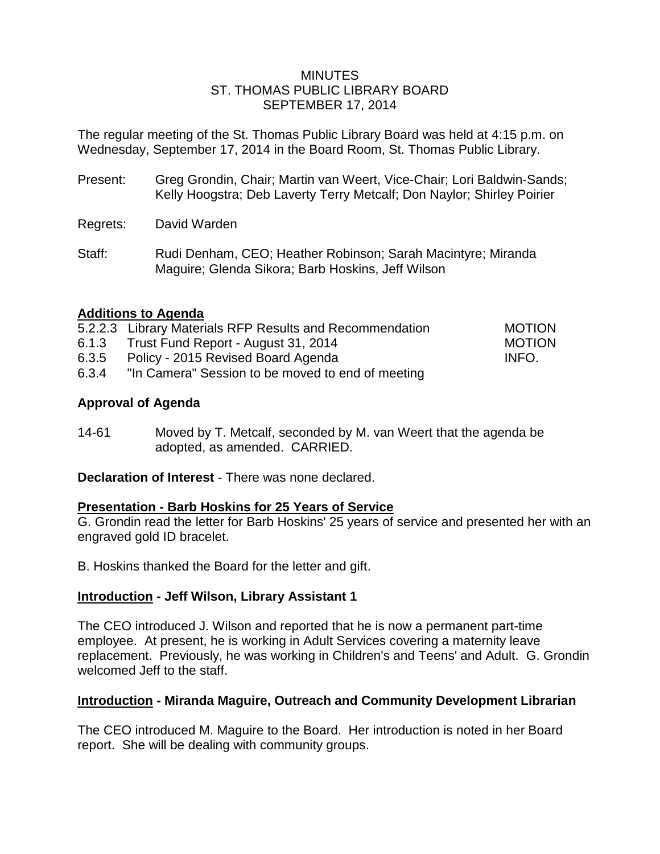### **MINUTES** ST. THOMAS PUBLIC LIBRARY BOARD SEPTEMBER 17, 2014

The regular meeting of the St. Thomas Public Library Board was held at 4:15 p.m. on Wednesday, September 17, 2014 in the Board Room, St. Thomas Public Library.

- Present: Greg Grondin, Chair; Martin van Weert, Vice-Chair; Lori Baldwin-Sands; Kelly Hoogstra; Deb Laverty Terry Metcalf; Don Naylor; Shirley Poirier
- Regrets: David Warden
- Staff: Rudi Denham, CEO; Heather Robinson; Sarah Macintyre; Miranda Maguire; Glenda Sikora; Barb Hoskins, Jeff Wilson

## **Additions to Agenda**

|       | 5.2.2.3 Library Materials RFP Results and Recommendation | <b>MOTION</b> |
|-------|----------------------------------------------------------|---------------|
| 6.1.3 | Trust Fund Report - August 31, 2014                      | <b>MOTION</b> |
| 6.3.5 | Policy - 2015 Revised Board Agenda                       | INFO.         |

6.3.4 "In Camera" Session to be moved to end of meeting

# **Approval of Agenda**

14-61 Moved by T. Metcalf, seconded by M. van Weert that the agenda be adopted, as amended. CARRIED.

**Declaration of Interest** - There was none declared.

## **Presentation - Barb Hoskins for 25 Years of Service**

G. Grondin read the letter for Barb Hoskins' 25 years of service and presented her with an engraved gold ID bracelet.

B. Hoskins thanked the Board for the letter and gift.

## **Introduction - Jeff Wilson, Library Assistant 1**

The CEO introduced J. Wilson and reported that he is now a permanent part-time employee. At present, he is working in Adult Services covering a maternity leave replacement. Previously, he was working in Children's and Teens' and Adult. G. Grondin welcomed Jeff to the staff.

## **Introduction - Miranda Maguire, Outreach and Community Development Librarian**

The CEO introduced M. Maguire to the Board. Her introduction is noted in her Board report. She will be dealing with community groups.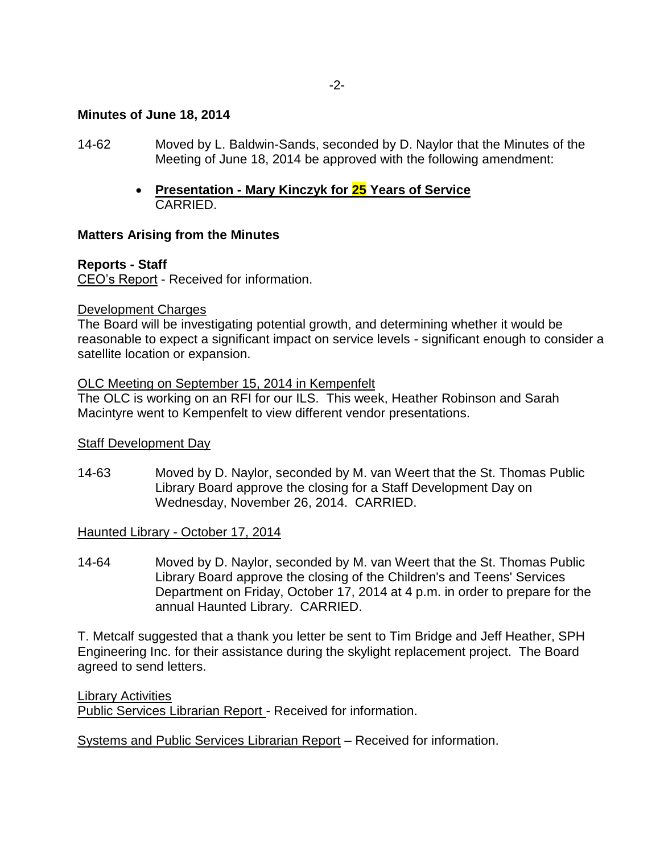#### -2-

### **Minutes of June 18, 2014**

- 14-62 Moved by L. Baldwin-Sands, seconded by D. Naylor that the Minutes of the Meeting of June 18, 2014 be approved with the following amendment:
	- **Presentation - Mary Kinczyk for 25 Years of Service** CARRIED.

### **Matters Arising from the Minutes**

### **Reports - Staff**

CEO's Report - Received for information.

#### Development Charges

The Board will be investigating potential growth, and determining whether it would be reasonable to expect a significant impact on service levels - significant enough to consider a satellite location or expansion.

#### OLC Meeting on September 15, 2014 in Kempenfelt

The OLC is working on an RFI for our ILS. This week, Heather Robinson and Sarah Macintyre went to Kempenfelt to view different vendor presentations.

### **Staff Development Day**

14-63 Moved by D. Naylor, seconded by M. van Weert that the St. Thomas Public Library Board approve the closing for a Staff Development Day on Wednesday, November 26, 2014. CARRIED.

### Haunted Library - October 17, 2014

14-64 Moved by D. Naylor, seconded by M. van Weert that the St. Thomas Public Library Board approve the closing of the Children's and Teens' Services Department on Friday, October 17, 2014 at 4 p.m. in order to prepare for the annual Haunted Library. CARRIED.

T. Metcalf suggested that a thank you letter be sent to Tim Bridge and Jeff Heather, SPH Engineering Inc. for their assistance during the skylight replacement project. The Board agreed to send letters.

Library Activities

Public Services Librarian Report - Received for information.

Systems and Public Services Librarian Report – Received for information.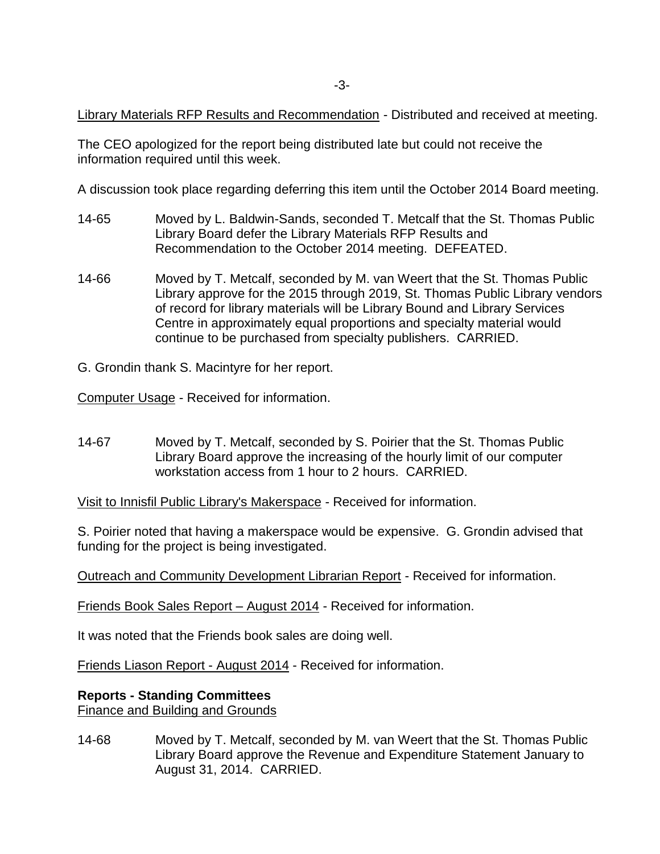Library Materials RFP Results and Recommendation - Distributed and received at meeting.

The CEO apologized for the report being distributed late but could not receive the information required until this week.

A discussion took place regarding deferring this item until the October 2014 Board meeting.

- 14-65 Moved by L. Baldwin-Sands, seconded T. Metcalf that the St. Thomas Public Library Board defer the Library Materials RFP Results and Recommendation to the October 2014 meeting. DEFEATED.
- 14-66 Moved by T. Metcalf, seconded by M. van Weert that the St. Thomas Public Library approve for the 2015 through 2019, St. Thomas Public Library vendors of record for library materials will be Library Bound and Library Services Centre in approximately equal proportions and specialty material would continue to be purchased from specialty publishers. CARRIED.
- G. Grondin thank S. Macintyre for her report.

Computer Usage - Received for information.

14-67 Moved by T. Metcalf, seconded by S. Poirier that the St. Thomas Public Library Board approve the increasing of the hourly limit of our computer workstation access from 1 hour to 2 hours. CARRIED.

Visit to Innisfil Public Library's Makerspace - Received for information.

S. Poirier noted that having a makerspace would be expensive. G. Grondin advised that funding for the project is being investigated.

Outreach and Community Development Librarian Report - Received for information.

Friends Book Sales Report – August 2014 - Received for information.

It was noted that the Friends book sales are doing well.

Friends Liason Report - August 2014 - Received for information.

## **Reports - Standing Committees**

Finance and Building and Grounds

14-68 Moved by T. Metcalf, seconded by M. van Weert that the St. Thomas Public Library Board approve the Revenue and Expenditure Statement January to August 31, 2014. CARRIED.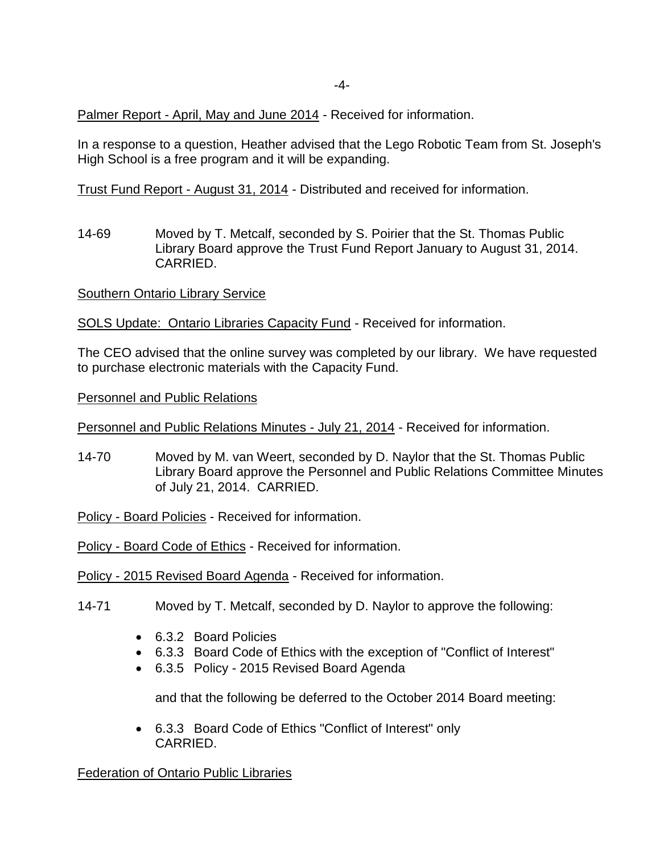Palmer Report - April, May and June 2014 - Received for information.

In a response to a question, Heather advised that the Lego Robotic Team from St. Joseph's High School is a free program and it will be expanding.

Trust Fund Report - August 31, 2014 - Distributed and received for information.

14-69 Moved by T. Metcalf, seconded by S. Poirier that the St. Thomas Public Library Board approve the Trust Fund Report January to August 31, 2014. CARRIED.

Southern Ontario Library Service

SOLS Update: Ontario Libraries Capacity Fund - Received for information.

The CEO advised that the online survey was completed by our library. We have requested to purchase electronic materials with the Capacity Fund.

Personnel and Public Relations

Personnel and Public Relations Minutes - July 21, 2014 - Received for information.

14-70 Moved by M. van Weert, seconded by D. Naylor that the St. Thomas Public Library Board approve the Personnel and Public Relations Committee Minutes of July 21, 2014. CARRIED.

Policy - Board Policies - Received for information.

Policy - Board Code of Ethics - Received for information.

Policy - 2015 Revised Board Agenda - Received for information.

- 14-71 Moved by T. Metcalf, seconded by D. Naylor to approve the following:
	- 6.3.2 Board Policies
	- 6.3.3 Board Code of Ethics with the exception of "Conflict of Interest"
	- 6.3.5 Policy 2015 Revised Board Agenda

and that the following be deferred to the October 2014 Board meeting:

 6.3.3 Board Code of Ethics "Conflict of Interest" only CARRIED.

Federation of Ontario Public Libraries